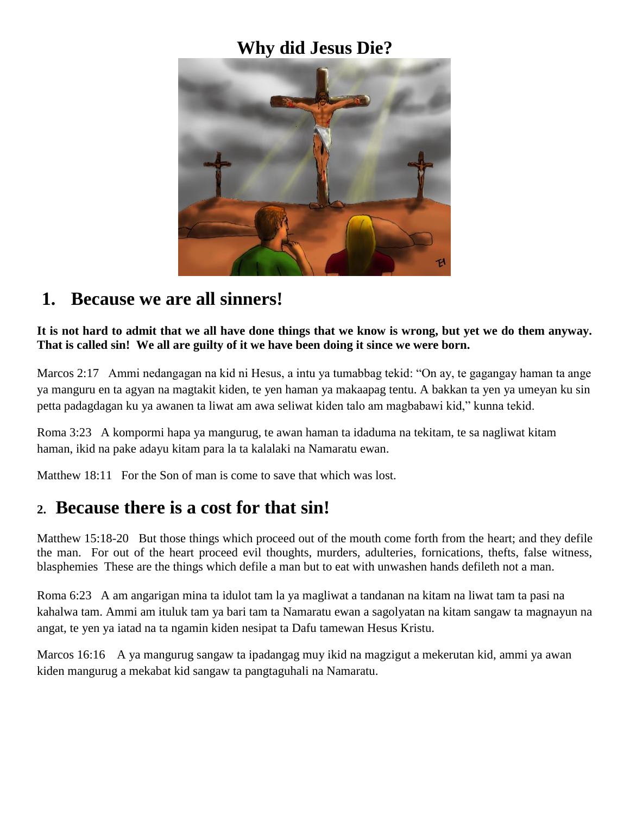### **Why did Jesus Die?**



### **1. Because we are all sinners!**

**It is not hard to admit that we all have done things that we know is wrong, but yet we do them anyway. That is called sin! We all are guilty of it we have been doing it since we were born.**

Marcos 2:17 Ammi nedangagan na kid ni Hesus, a intu ya tumabbag tekid: "On ay, te gagangay haman ta ange ya manguru en ta agyan na magtakit kiden, te yen haman ya makaapag tentu. A bakkan ta yen ya umeyan ku sin petta padagdagan ku ya awanen ta liwat am awa seliwat kiden talo am magbabawi kid," kunna tekid.

Roma 3:23 A kompormi hapa ya mangurug, te awan haman ta idaduma na tekitam, te sa nagliwat kitam haman, ikid na pake adayu kitam para la ta kalalaki na Namaratu ewan.

Matthew 18:11 For the Son of man is come to save that which was lost.

## **2. Because there is a cost for that sin!**

Matthew 15:18-20 But those things which proceed out of the mouth come forth from the heart; and they defile the man. For out of the heart proceed evil thoughts, murders, adulteries, fornications, thefts, false witness, blasphemies These are the things which defile a man but to eat with unwashen hands defileth not a man.

Roma 6:23 A am angarigan mina ta idulot tam la ya magliwat a tandanan na kitam na liwat tam ta pasi na kahalwa tam. Ammi am ituluk tam ya bari tam ta Namaratu ewan a sagolyatan na kitam sangaw ta magnayun na angat, te yen ya iatad na ta ngamin kiden nesipat ta Dafu tamewan Hesus Kristu.

Marcos 16:16 A ya mangurug sangaw ta ipadangag muy ikid na magzigut a mekerutan kid, ammi ya awan kiden mangurug a mekabat kid sangaw ta pangtaguhali na Namaratu.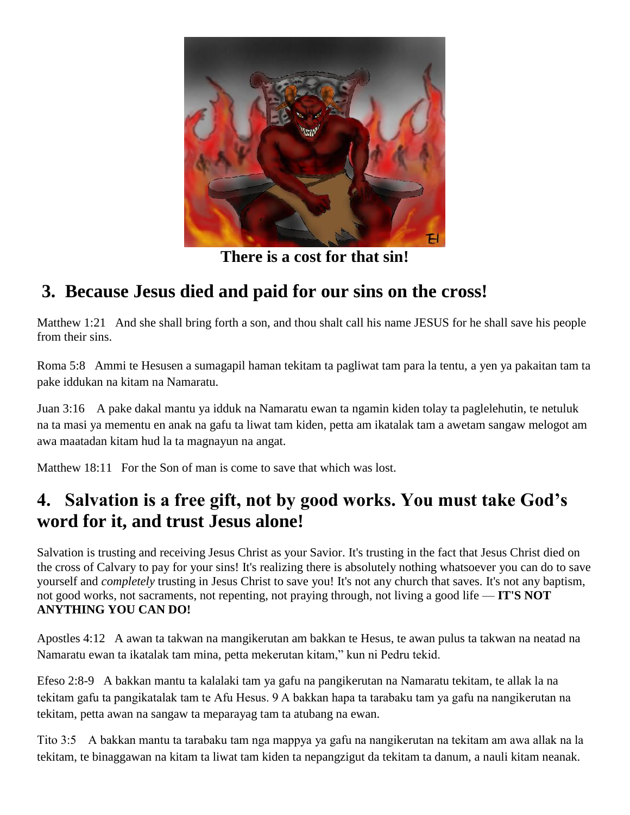

**There is a cost for that sin!**

# **3. Because Jesus died and paid for our sins on the cross!**

Matthew 1:21 And she shall bring forth a son, and thou shalt call his name JESUS for he shall save his people from their sins.

Roma 5:8 Ammi te Hesusen a sumagapil haman tekitam ta pagliwat tam para la tentu, a yen ya pakaitan tam ta pake iddukan na kitam na Namaratu.

Juan 3:16 A pake dakal mantu ya idduk na Namaratu ewan ta ngamin kiden tolay ta paglelehutin, te netuluk na ta masi ya mementu en anak na gafu ta liwat tam kiden, petta am ikatalak tam a awetam sangaw melogot am awa maatadan kitam hud la ta magnayun na angat.

Matthew 18:11 For the Son of man is come to save that which was lost.

## **4. Salvation is a free gift, not by good works. You must take God's word for it, and trust Jesus alone!**

Salvation is trusting and receiving Jesus Christ as your Savior. It's trusting in the fact that Jesus Christ died on the cross of Calvary to pay for your sins! It's realizing there is absolutely nothing whatsoever you can do to save yourself and *completely* trusting in Jesus Christ to save you! It's not any church that saves. It's not any baptism, not good works, not sacraments, not repenting, not praying through, not living a good life — **IT'S NOT ANYTHING YOU CAN DO!**

Apostles 4:12 A awan ta takwan na mangikerutan am bakkan te Hesus, te awan pulus ta takwan na neatad na Namaratu ewan ta ikatalak tam mina, petta mekerutan kitam," kun ni Pedru tekid.

Efeso 2:8-9 A bakkan mantu ta kalalaki tam ya gafu na pangikerutan na Namaratu tekitam, te allak la na tekitam gafu ta pangikatalak tam te Afu Hesus. 9 A bakkan hapa ta tarabaku tam ya gafu na nangikerutan na tekitam, petta awan na sangaw ta meparayag tam ta atubang na ewan.

Tito 3:5  A bakkan mantu ta tarabaku tam nga mappya ya gafu na nangikerutan na tekitam am awa allak na la tekitam, te binaggawan na kitam ta liwat tam kiden ta nepangzigut da tekitam ta danum, a nauli kitam neanak.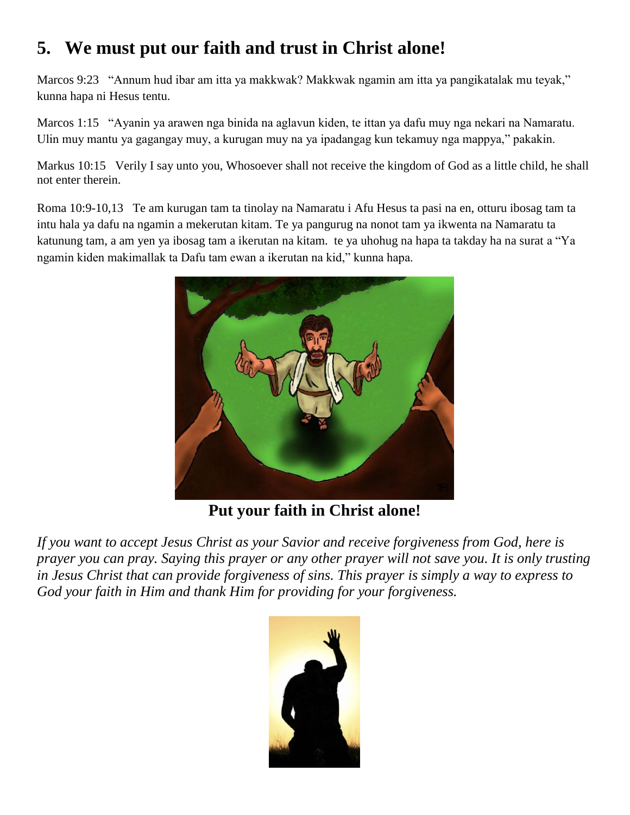# **5. We must put our faith and trust in Christ alone!**

Marcos 9:23 "Annum hud ibar am itta ya makkwak? Makkwak ngamin am itta ya pangikatalak mu teyak," kunna hapa ni Hesus tentu.

Marcos 1:15 "Ayanin ya arawen nga binida na aglavun kiden, te ittan ya dafu muy nga nekari na Namaratu. Ulin muy mantu ya gagangay muy, a kurugan muy na ya ipadangag kun tekamuy nga mappya," pakakin.

Markus 10:15 Verily I say unto you, Whosoever shall not receive the kingdom of God as a little child, he shall not enter therein.

Roma 10:9-10,13 Te am kurugan tam ta tinolay na Namaratu i Afu Hesus ta pasi na en, otturu ibosag tam ta intu hala ya dafu na ngamin a mekerutan kitam. Te ya pangurug na nonot tam ya ikwenta na Namaratu ta katunung tam, a am yen ya ibosag tam a ikerutan na kitam. te ya uhohug na hapa ta takday ha na surat a "Ya ngamin kiden makimallak ta Dafu tam ewan a ikerutan na kid," kunna hapa.



**Put your faith in Christ alone!**

*If you want to accept Jesus Christ as your Savior and receive forgiveness from God, here is prayer you can pray. Saying this prayer or any other prayer will not save you. It is only trusting in Jesus Christ that can provide forgiveness of sins. This prayer is simply a way to express to God your faith in Him and thank Him for providing for your forgiveness.*